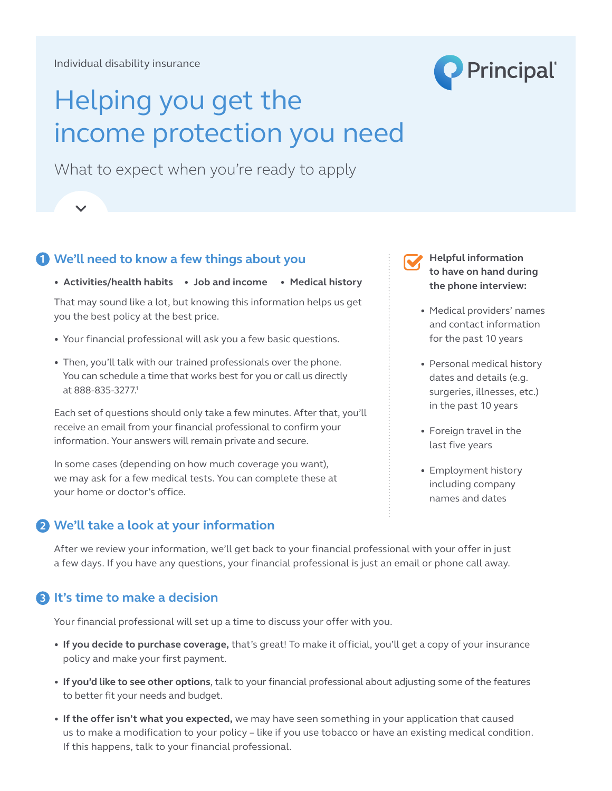

# Helping you get the income protection you need

What to expect when you're ready to apply

## **1** We'll need to know a few things about you **Helpful information**

**• Activities/health habits • Job and income • Medical history**

That may sound like a lot, but knowing this information helps us get you the best policy at the best price.

- **•** Your financial professional will ask you a few basic questions.
- **•** Then, you'll talk with our trained professionals over the phone. You can schedule a time that works best for you or call us directly at 888-835-3277.1

Each set of questions should only take a few minutes. After that, you'll receive an email from your financial professional to confirm your In some cases (depending on how much coverage you want), we want  $\alpha$ information. Your answers will remain private and secure.

In some cases (depending on how much coverage you want), we may ask for a few medical tests. You can complete these at your home or doctor's office.

#### **2 We'll take a look at your information We'll take a look at your information 2**

**to have on hand during the phone interview:**

- Medical providers' names and contact information for the past 10 years
- Personal medical history dates and details (e.g. surgeries, illnesses, etc.) in the past 10 years
- Foreign travel in the last five years
- • Employment history including company names and dates

After we review your information, we'll get back to your financial professional with your offer in just a few days. If you have any questions, your financial professional is just an email or phone call away.

### **3 It's time to make a decision 3**

Your financial professional will set up a time to discuss your offer with you.

- If you decide to purchase coverage, that's great! To make it official, you'll get a copy of your insurance policy and make your first payment.
- If you'd like to see other options, talk to your financial professional about adjusting some of the features to better fit your needs and budget.
- If the offer isn't what you expected, we may have seen something in your application that caused us to make a modification to your policy – like if you use tobacco or have an existing medical condition. If this happens, talk to your financial professional.